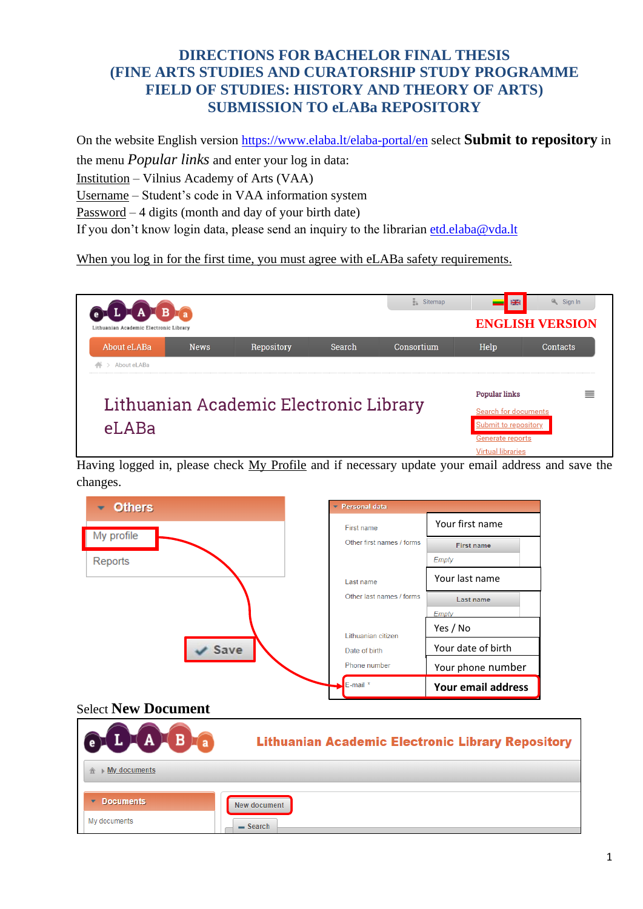## **DIRECTIONS FOR BACHELOR FINAL THESIS (FINE ARTS STUDIES AND CURATORSHIP STUDY PROGRAMME FIELD OF STUDIES: HISTORY AND THEORY OF ARTS) SUBMISSION TO eLABa REPOSITORY**

On the website English version <https://www.elaba.lt/elaba-portal/en> select **Submit to repository** in the menu *Popular links* and enter your log in data: Institution – Vilnius Academy of Arts (VAA) Username – Student's code in VAA information system

Password – 4 digits (month and day of your birth date)

If you don't know login data, please send an inquiry to the librarian [etd.elaba@vda.lt](mailto:etd.elaba@vda.lt)

When you log in for the first time, you must agree with eLABa safety requirements.



Having logged in, please check My Profile and if necessary update your email address and save the changes.

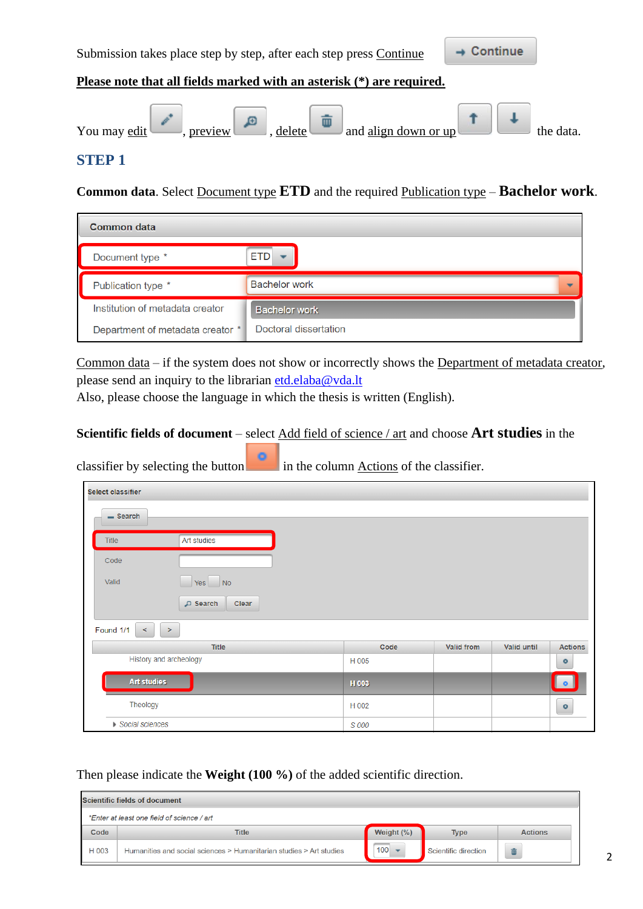

### **STEP 1**

**Common data**. Select Document type **ETD** and the required Publication type – **Bachelor work**.

| <b>Common data</b>               |                       |
|----------------------------------|-----------------------|
| Document type *                  | ETD                   |
| Publication type *               | <b>Bachelor work</b>  |
| Institution of metadata creator  | <b>Bachelor work</b>  |
| Department of metadata creator * | Doctoral dissertation |

Common data – if the system does not show or incorrectly shows the Department of metadata creator, please send an inquiry to the librarian [etd.elaba@vda.lt](mailto:etd.elaba@vda.lt)

Also, please choose the language in which the thesis is written (English).

#### **Scientific fields of document** – select Add field of science / art and choose **Art studies** in the

| $\overline{\phantom{a}}$ | $\sim$ $\sim$          |       |            |             |                |  |  |  |
|--------------------------|------------------------|-------|------------|-------------|----------------|--|--|--|
| Select classifier        |                        |       |            |             |                |  |  |  |
| $-$ Search               |                        |       |            |             |                |  |  |  |
| Title                    | Art studies            |       |            |             |                |  |  |  |
| Code                     |                        |       |            |             |                |  |  |  |
| Valid                    | Yes No                 |       |            |             |                |  |  |  |
|                          | D Search<br>Clear      |       |            |             |                |  |  |  |
| Found 1/1<br>$\leq$      | $\rightarrow$          |       |            |             |                |  |  |  |
|                          | <b>Title</b>           | Code  | Valid from | Valid until | <b>Actions</b> |  |  |  |
|                          | History and archeology | H 005 |            |             | $\circ$        |  |  |  |
| Art studies              |                        | H 003 |            |             | $\bullet$      |  |  |  |
| Theology                 |                        | H 002 |            |             | $\bullet$      |  |  |  |
| Social sciences          |                        | S 000 |            |             |                |  |  |  |

classifier by selecting the button in the column Actions of the classifier.

Then please indicate the **Weight (100 %)** of the added scientific direction.

|       | Scientific fields of document                                       |               |                      |                |  |  |  |  |  |
|-------|---------------------------------------------------------------------|---------------|----------------------|----------------|--|--|--|--|--|
|       | *Enter at least one field of science / art                          |               |                      |                |  |  |  |  |  |
| Code  | <b>Title</b>                                                        | Weight $(\%)$ | <b>Type</b>          | <b>Actions</b> |  |  |  |  |  |
| H 003 | Humanities and social sciences > Humanitarian studies > Art studies | 100           | Scientific direction |                |  |  |  |  |  |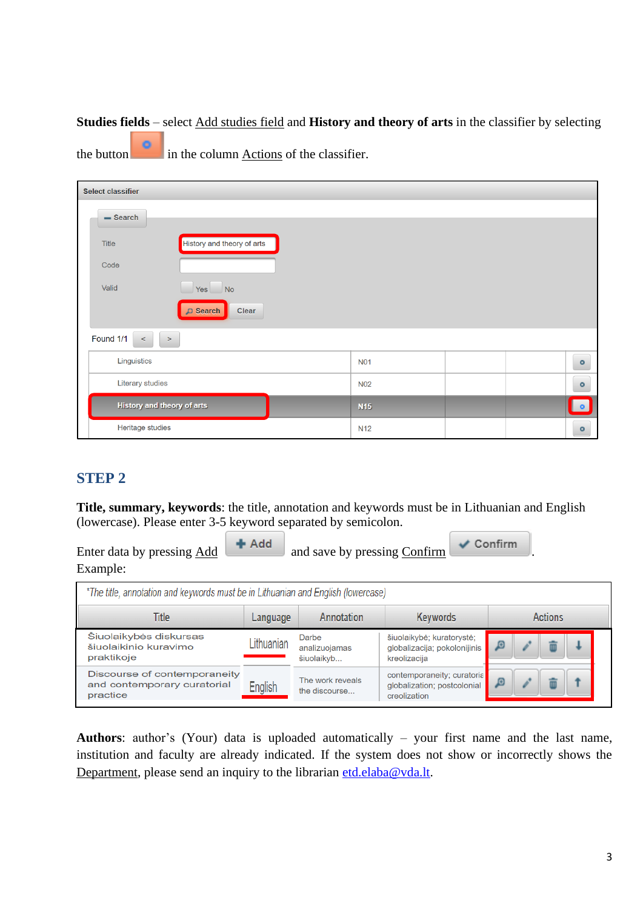### **Studies fields** – select Add studies field and **History and theory of arts** in the classifier by selecting

the button in the column Actions of the classifier.

| <b>Select classifier</b>                   |                                   |  |            |  |  |           |  |  |
|--------------------------------------------|-----------------------------------|--|------------|--|--|-----------|--|--|
| $=$ Search                                 |                                   |  |            |  |  |           |  |  |
| History and theory of arts<br><b>Title</b> |                                   |  |            |  |  |           |  |  |
| Code                                       |                                   |  |            |  |  |           |  |  |
| Valid<br>$Yes$ No                          |                                   |  |            |  |  |           |  |  |
|                                            | $\sqrt{ }$ Search<br><b>Clear</b> |  |            |  |  |           |  |  |
| Found 1/1<br>$\,<$<br>$\,>$                |                                   |  |            |  |  |           |  |  |
| Linguistics                                |                                   |  | <b>N01</b> |  |  | $\circ$   |  |  |
| <b>Literary studies</b>                    |                                   |  | <b>N02</b> |  |  | $\circ$   |  |  |
| History and theory of arts                 |                                   |  | <b>N15</b> |  |  | $\bullet$ |  |  |
| Heritage studies                           |                                   |  | <b>N12</b> |  |  | $\circ$   |  |  |

## **STEP 2**

**Title, summary, keywords**: the title, annotation and keywords must be in Lithuanian and English (lowercase). Please enter 3-5 keyword separated by semicolon.

| Enter data by pressing Add | $#$ Add | and save by pressing Confirm | $\vee$ Confirm |  |
|----------------------------|---------|------------------------------|----------------|--|
| Example:                   |         |                              |                |  |

| *The title, annotation and keywords must be in Lithuanian and English (lowercase) |            |                                      |                                                                           |         |  |  |  |  |  |
|-----------------------------------------------------------------------------------|------------|--------------------------------------|---------------------------------------------------------------------------|---------|--|--|--|--|--|
| Title                                                                             | Language   | Annotation                           | Keywords                                                                  | Actions |  |  |  |  |  |
| Šiuolaikybės diskursas<br>šiuolaikinio kuravimo<br>praktikoje                     | Lithuanian | Darbe<br>analizuojamas<br>šiuolaikyb | šiuolaikybė; kuratorystė;<br>globalizacija; pokolonijinis<br>kreolizacija |         |  |  |  |  |  |
| Discourse of contemporaneity<br>and contemporary curatorial<br>practice           | English    | The work reveals<br>the discourse    | contemporaneity; curatoria<br>globalization; postcolonial<br>creolization |         |  |  |  |  |  |

**Authors**: author's (Your) data is uploaded automatically – your first name and the last name, institution and faculty are already indicated. If the system does not show or incorrectly shows the Department, please send an inquiry to the librarian [etd.elaba@vda.lt.](mailto:etd.elaba@vda.lt)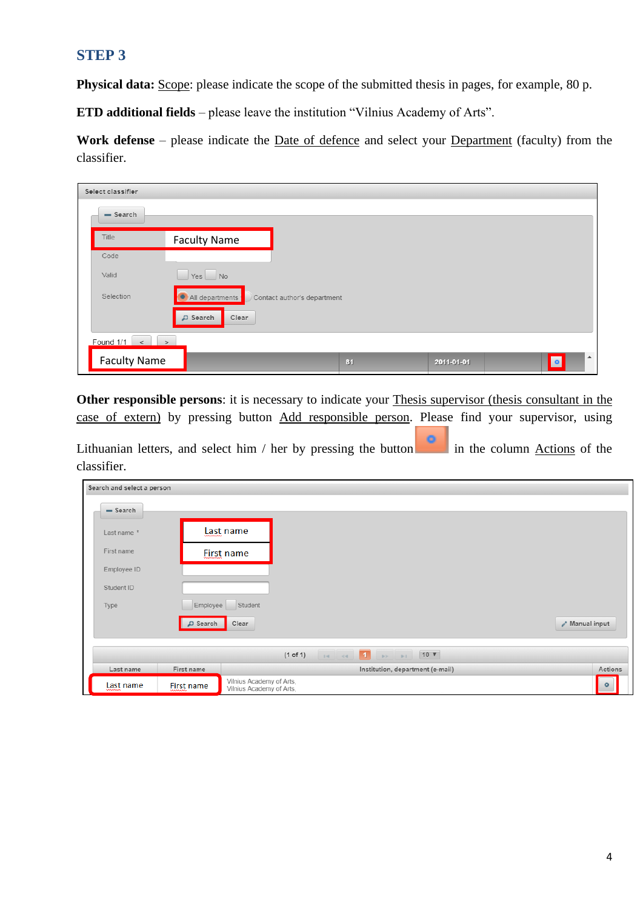## **STEP 3**

**Physical data:** Scope: please indicate the scope of the submitted thesis in pages, for example, 80 p.

**ETD additional fields** – please leave the institution "Vilnius Academy of Arts".

**Work defense** – please indicate the Date of defence and select your Department (faculty) from the classifier.

| Select classifier   |                     |                             |    |            |           |                  |  |
|---------------------|---------------------|-----------------------------|----|------------|-----------|------------------|--|
| $-$ Search          |                     |                             |    |            |           |                  |  |
| Title               | <b>Faculty Name</b> |                             |    |            |           |                  |  |
| Code                |                     |                             |    |            |           |                  |  |
| Valid               | $Yes$ No            |                             |    |            |           |                  |  |
| Selection           | All departments     | Contact author's department |    |            |           |                  |  |
| D Search<br>Clear   |                     |                             |    |            |           |                  |  |
|                     |                     |                             |    |            |           |                  |  |
| <b>Faculty Name</b> |                     |                             | 81 | 2011-01-01 | $\bullet$ | $\blacktriangle$ |  |

**Other responsible persons**: it is necessary to indicate your Thesis supervisor (thesis consultant in the case of extern) by pressing button Add responsible person. Please find your supervisor, using

Lithuanian letters, and select him / her by pressing the button in the column Actions of the classifier.

| Search and select a person |                   |                                                      |          |  |                                                                                                                                                                                                                                                                                                  |  |                                     |         |
|----------------------------|-------------------|------------------------------------------------------|----------|--|--------------------------------------------------------------------------------------------------------------------------------------------------------------------------------------------------------------------------------------------------------------------------------------------------|--|-------------------------------------|---------|
| $-$ Search                 |                   |                                                      |          |  |                                                                                                                                                                                                                                                                                                  |  |                                     |         |
| Last name *                |                   | Last name                                            |          |  |                                                                                                                                                                                                                                                                                                  |  |                                     |         |
| First name                 |                   | <b>Eirst name</b>                                    |          |  |                                                                                                                                                                                                                                                                                                  |  |                                     |         |
| Employee ID                |                   |                                                      |          |  |                                                                                                                                                                                                                                                                                                  |  |                                     |         |
| Student ID                 |                   |                                                      |          |  |                                                                                                                                                                                                                                                                                                  |  |                                     |         |
| Type                       | Employee          | Student                                              |          |  |                                                                                                                                                                                                                                                                                                  |  |                                     |         |
|                            | $\sqrt{ }$ Search | Clear                                                |          |  |                                                                                                                                                                                                                                                                                                  |  | $\lambda$ <sup>+</sup> Manual input |         |
|                            |                   |                                                      |          |  |                                                                                                                                                                                                                                                                                                  |  |                                     |         |
|                            |                   |                                                      | (1 of 1) |  | $\mathbb{R}$ and $\mathbb{R}$ and $\mathbb{R}$ and $\mathbb{R}$ and $\mathbb{R}$ and $\mathbb{R}$ and $\mathbb{R}$ and $\mathbb{R}$ and $\mathbb{R}$ and $\mathbb{R}$ and $\mathbb{R}$ and $\mathbb{R}$ and $\mathbb{R}$ and $\mathbb{R}$ and $\mathbb{R}$ and $\mathbb{R}$ and $\mathbb{R}$ and |  |                                     |         |
| Last name                  | First name        |                                                      |          |  | Institution, department (e-mail)                                                                                                                                                                                                                                                                 |  |                                     | Actions |
| <b>Last</b> name           | <b>First name</b> | Vilnius Academy of Arts,<br>Vilnius Academy of Arts, |          |  |                                                                                                                                                                                                                                                                                                  |  |                                     | $\circ$ |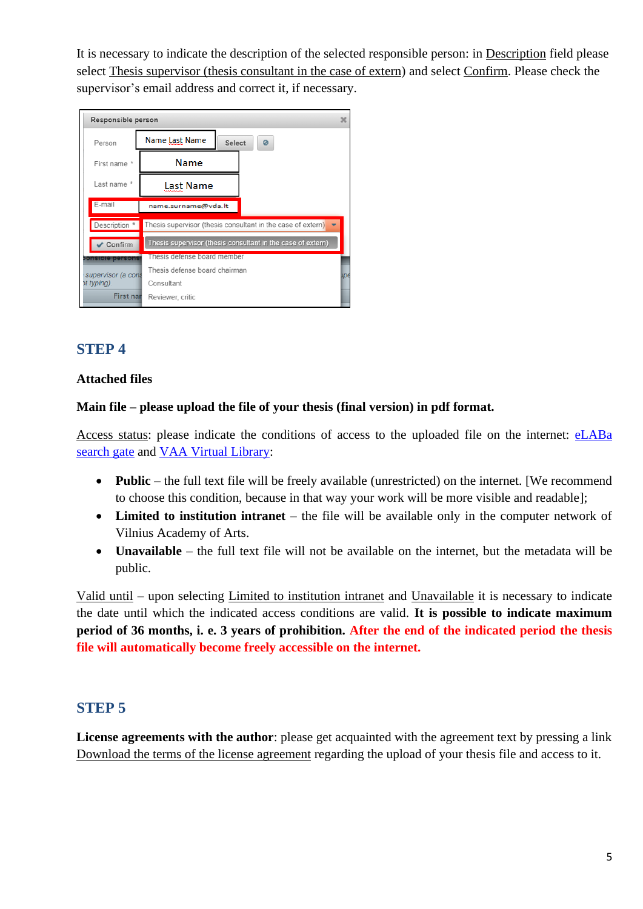It is necessary to indicate the description of the selected responsible person: in Description field please select Thesis supervisor (thesis consultant in the case of extern) and select Confirm. Please check the supervisor's email address and correct it, if necessary.

| Responsible person      | ×                                                           |
|-------------------------|-------------------------------------------------------------|
| Person                  | Name Last Name<br>Select<br>Ø                               |
| First name *            | Name                                                        |
| Last name *             | <b>Last Name</b>                                            |
| E-mail                  | name.surname@vda.lt                                         |
| Description *           | Thesis supervisor (thesis consultant in the case of extern) |
| Confirm                 | Thesis supervisor (thesis consultant in the case of extern) |
| <b>ponsible persons</b> | Thesis defense board member                                 |
| supervisor (a cons      | Thesis defense board chairman<br>лр€                        |
| ot typing).             | Consultant                                                  |
| <b>First nar</b>        | Reviewer, critic                                            |

# **STEP 4**

### **Attached files**

#### **Main file – please upload the file of your thesis (final version) in pdf format.**

Access status: please indicate the conditions of access to the uploaded file on the internet: [eLABa](https://www.lvb.lt/primo-explore/search?search_scope=eLABa&vid=ELABA&lang=en_US)  [search gate](https://www.lvb.lt/primo-explore/search?search_scope=eLABa&vid=ELABA&lang=en_US) and [VAA Virtual Library:](https://vb.vda.lt/primo-explore/search?vid=VDA&lang=en_US)

- **Public** the full text file will be freely available (unrestricted) on the internet. [We recommend to choose this condition, because in that way your work will be more visible and readable];
- **Limited to institution intranet** the file will be available only in the computer network of Vilnius Academy of Arts.
- **Unavailable** the full text file will not be available on the internet, but the metadata will be public.

Valid until – upon selecting Limited to institution intranet and Unavailable it is necessary to indicate the date until which the indicated access conditions are valid. **It is possible to indicate maximum period of 36 months, i. e. 3 years of prohibition. After the end of the indicated period the thesis file will automatically become freely accessible on the internet.**

## **STEP 5**

**License agreements with the author**: please get acquainted with the agreement text by pressing a link Download the terms of the license agreement regarding the upload of your thesis file and access to it.